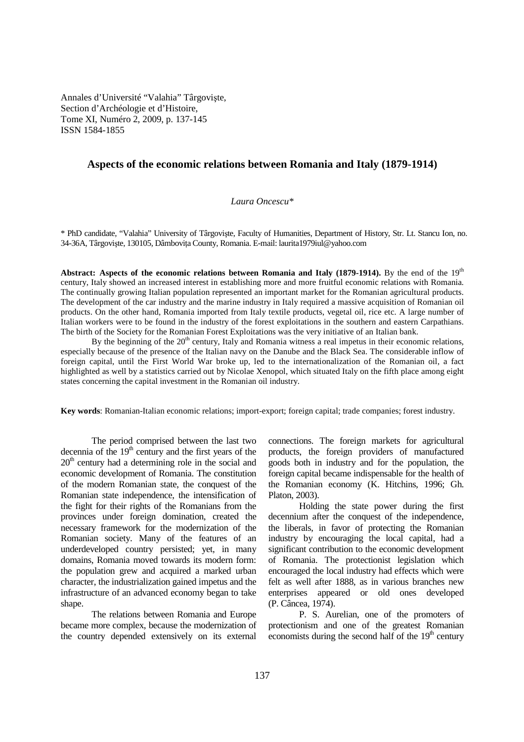Annales d'Université "Valahia" Târgovişte, Section d'Archéologie et d'Histoire, Tome XI, Numéro 2, 2009, p. 137-145 ISSN 1584-1855

## **Aspects of the economic relations between Romania and Italy (1879-1914)**

## *Laura Oncescu\**

\* PhD candidate, "Valahia" University of Târgovişte, Faculty of Humanities, Department of History, Str. Lt. Stancu Ion, no. 34-36A, Târgoviște, 130105, Dâmbovita County, Romania. E-mail: laurita1979iul@yahoo.com

**Abstract: Aspects of the economic relations between Romania and Italy (1879-1914).** By the end of the 19th century, Italy showed an increased interest in establishing more and more fruitful economic relations with Romania. The continually growing Italian population represented an important market for the Romanian agricultural products. The development of the car industry and the marine industry in Italy required a massive acquisition of Romanian oil products. On the other hand, Romania imported from Italy textile products, vegetal oil, rice etc. A large number of Italian workers were to be found in the industry of the forest exploitations in the southern and eastern Carpathians. The birth of the Society for the Romanian Forest Exploitations was the very initiative of an Italian bank.

By the beginning of the  $20<sup>th</sup>$  century, Italy and Romania witness a real impetus in their economic relations, especially because of the presence of the Italian navy on the Danube and the Black Sea. The considerable inflow of foreign capital, until the First World War broke up, led to the internationalization of the Romanian oil, a fact highlighted as well by a statistics carried out by Nicolae Xenopol, which situated Italy on the fifth place among eight states concerning the capital investment in the Romanian oil industry.

**Key words**: Romanian-Italian economic relations; import-export; foreign capital; trade companies; forest industry.

The period comprised between the last two decennia of the  $19<sup>th</sup>$  century and the first years of the  $20<sup>th</sup>$  century had a determining role in the social and economic development of Romania. The constitution of the modern Romanian state, the conquest of the Romanian state independence, the intensification of the fight for their rights of the Romanians from the provinces under foreign domination, created the necessary framework for the modernization of the Romanian society. Many of the features of an underdeveloped country persisted; yet, in many domains, Romania moved towards its modern form: the population grew and acquired a marked urban character, the industrialization gained impetus and the infrastructure of an advanced economy began to take shape.

 The relations between Romania and Europe became more complex, because the modernization of the country depended extensively on its external connections. The foreign markets for agricultural products, the foreign providers of manufactured goods both in industry and for the population, the foreign capital became indispensable for the health of the Romanian economy (K. Hitchins, 1996; Gh. Platon, 2003).

 Holding the state power during the first decennium after the conquest of the independence. the liberals, in favor of protecting the Romanian industry by encouraging the local capital, had a significant contribution to the economic development of Romania. The protectionist legislation which encouraged the local industry had effects which were felt as well after 1888, as in various branches new enterprises appeared or old ones developed (P. Câncea, 1974).

 P. S. Aurelian, one of the promoters of protectionism and one of the greatest Romanian economists during the second half of the  $19<sup>th</sup>$  century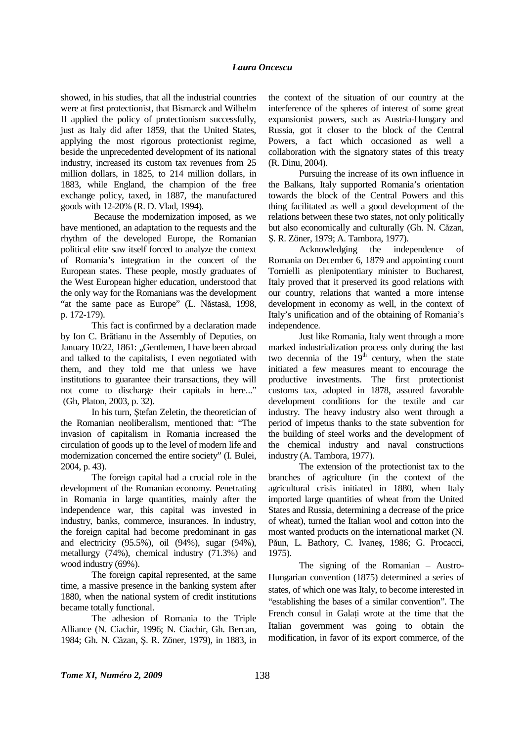## *Laura Oncescu*

showed, in his studies, that all the industrial countries were at first protectionist, that Bismarck and Wilhelm II applied the policy of protectionism successfully, just as Italy did after 1859, that the United States, applying the most rigorous protectionist regime, beside the unprecedented development of its national industry, increased its custom tax revenues from 25 million dollars, in 1825, to 214 million dollars, in 1883, while England, the champion of the free exchange policy, taxed, in 1887, the manufactured goods with 12-20% (R. D. Vlad, 1994).

 Because the modernization imposed, as we have mentioned, an adaptation to the requests and the rhythm of the developed Europe, the Romanian political elite saw itself forced to analyze the context of Romania's integration in the concert of the European states. These people, mostly graduates of the West European higher education, understood that the only way for the Romanians was the development "at the same pace as Europe" (L. Năstasă, 1998, p. 172-179).

 This fact is confirmed by a declaration made by Ion C. Brătianu in the Assembly of Deputies, on January 10/22, 1861: "Gentlemen, I have been abroad and talked to the capitalists, I even negotiated with them, and they told me that unless we have institutions to guarantee their transactions, they will not come to discharge their capitals in here..." (Gh, Platon, 2003, p. 32).

 In his turn, Ştefan Zeletin, the theoretician of the Romanian neoliberalism, mentioned that: "The invasion of capitalism in Romania increased the circulation of goods up to the level of modern life and modernization concerned the entire society" (I. Bulei, 2004, p. 43).

 The foreign capital had a crucial role in the development of the Romanian economy. Penetrating in Romania in large quantities, mainly after the independence war, this capital was invested in industry, banks, commerce, insurances. In industry, the foreign capital had become predominant in gas and electricity (95.5%), oil (94%), sugar (94%), metallurgy (74%), chemical industry (71.3%) and wood industry (69%).

 The foreign capital represented, at the same time, a massive presence in the banking system after 1880, when the national system of credit institutions became totally functional.

 The adhesion of Romania to the Triple Alliance (N. Ciachir, 1996; N. Ciachir, Gh. Bercan, 1984; Gh. N. Căzan, Ş. R. Zöner, 1979), in 1883, in

the context of the situation of our country at the interference of the spheres of interest of some great expansionist powers, such as Austria-Hungary and Russia, got it closer to the block of the Central Powers, a fact which occasioned as well a collaboration with the signatory states of this treaty (R. Dinu, 2004).

 Pursuing the increase of its own influence in the Balkans, Italy supported Romania's orientation towards the block of the Central Powers and this thing facilitated as well a good development of the relations between these two states, not only politically but also economically and culturally (Gh. N. Căzan, Ş. R. Zöner, 1979; A. Tambora, 1977).

 Acknowledging the independence of Romania on December 6, 1879 and appointing count Tornielli as plenipotentiary minister to Bucharest, Italy proved that it preserved its good relations with our country, relations that wanted a more intense development in economy as well, in the context of Italy's unification and of the obtaining of Romania's independence.

 Just like Romania, Italy went through a more marked industrialization process only during the last two decennia of the  $19<sup>th</sup>$  century, when the state initiated a few measures meant to encourage the productive investments. The first protectionist customs tax, adopted in 1878, assured favorable development conditions for the textile and car industry. The heavy industry also went through a period of impetus thanks to the state subvention for the building of steel works and the development of the chemical industry and naval constructions industry (A. Tambora, 1977).

 The extension of the protectionist tax to the branches of agriculture (in the context of the agricultural crisis initiated in 1880, when Italy imported large quantities of wheat from the United States and Russia, determining a decrease of the price of wheat), turned the Italian wool and cotton into the most wanted products on the international market (N. Păun, L. Bathory, C. Ivaneş, 1986; G. Procacci, 1975).

 The signing of the Romanian – Austro-Hungarian convention (1875) determined a series of states, of which one was Italy, to become interested in "establishing the bases of a similar convention". The French consul in Galati wrote at the time that the Italian government was going to obtain the modification, in favor of its export commerce, of the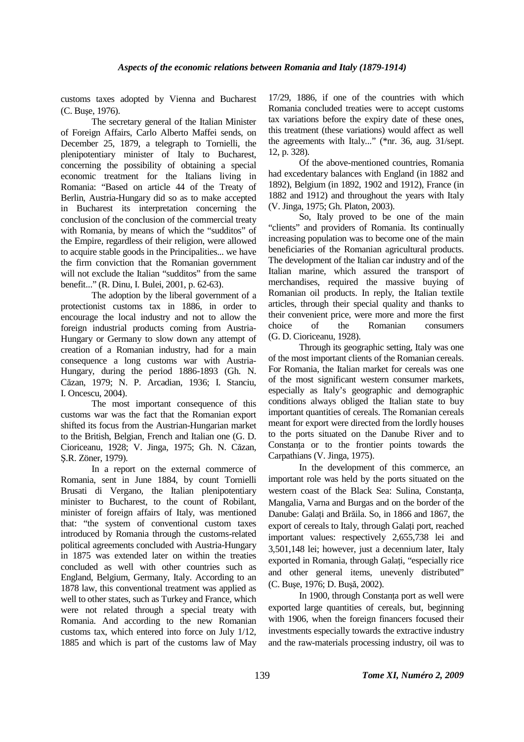customs taxes adopted by Vienna and Bucharest (C. Buşe, 1976).

 The secretary general of the Italian Minister of Foreign Affairs, Carlo Alberto Maffei sends, on December 25, 1879, a telegraph to Tornielli, the plenipotentiary minister of Italy to Bucharest, concerning the possibility of obtaining a special economic treatment for the Italians living in Romania: "Based on article 44 of the Treaty of Berlin, Austria-Hungary did so as to make accepted in Bucharest its interpretation concerning the conclusion of the conclusion of the commercial treaty with Romania, by means of which the "sudditos" of the Empire, regardless of their religion, were allowed to acquire stable goods in the Principalities... we have the firm conviction that the Romanian government will not exclude the Italian "sudditos" from the same benefit..." (R. Dinu, I. Bulei, 2001, p. 62-63).

 The adoption by the liberal government of a protectionist customs tax in 1886, in order to encourage the local industry and not to allow the foreign industrial products coming from Austria-Hungary or Germany to slow down any attempt of creation of a Romanian industry, had for a main consequence a long customs war with Austria-Hungary, during the period 1886-1893 (Gh. N. Căzan, 1979; N. P. Arcadian, 1936; I. Stanciu, I. Oncescu, 2004).

 The most important consequence of this customs war was the fact that the Romanian export shifted its focus from the Austrian-Hungarian market to the British, Belgian, French and Italian one (G. D. Cioriceanu, 1928; V. Jinga, 1975; Gh. N. Căzan, Ş.R. Zöner, 1979).

 In a report on the external commerce of Romania, sent in June 1884, by count Tornielli Brusati di Vergano, the Italian plenipotentiary minister to Bucharest, to the count of Robilant, minister of foreign affairs of Italy, was mentioned that: "the system of conventional custom taxes introduced by Romania through the customs-related political agreements concluded with Austria-Hungary in 1875 was extended later on within the treaties concluded as well with other countries such as England, Belgium, Germany, Italy. According to an 1878 law, this conventional treatment was applied as well to other states, such as Turkey and France, which were not related through a special treaty with Romania. And according to the new Romanian customs tax, which entered into force on July 1/12, 1885 and which is part of the customs law of May

17/29, 1886, if one of the countries with which Romania concluded treaties were to accept customs tax variations before the expiry date of these ones, this treatment (these variations) would affect as well the agreements with Italy..." (\*nr. 36, aug. 31/sept. 12, p. 328).

 Of the above-mentioned countries, Romania had excedentary balances with England (in 1882 and 1892), Belgium (in 1892, 1902 and 1912), France (in 1882 and 1912) and throughout the years with Italy (V. Jinga, 1975; Gh. Platon, 2003).

 So, Italy proved to be one of the main "clients" and providers of Romania. Its continually increasing population was to become one of the main beneficiaries of the Romanian agricultural products. The development of the Italian car industry and of the Italian marine, which assured the transport of merchandises, required the massive buying of Romanian oil products. In reply, the Italian textile articles, through their special quality and thanks to their convenient price, were more and more the first choice of the Romanian consumers (G. D. Cioriceanu, 1928).

 Through its geographic setting, Italy was one of the most important clients of the Romanian cereals. For Romania, the Italian market for cereals was one of the most significant western consumer markets, especially as Italy's geographic and demographic conditions always obliged the Italian state to buy important quantities of cereals. The Romanian cereals meant for export were directed from the lordly houses to the ports situated on the Danube River and to Constanta or to the frontier points towards the Carpathians (V. Jinga, 1975).

 In the development of this commerce, an important role was held by the ports situated on the western coast of the Black Sea: Sulina, Constanta, Mangalia, Varna and Burgas and on the border of the Danube: Galați and Brăila. So, in 1866 and 1867, the export of cereals to Italy, through Galati port, reached important values: respectively 2,655,738 lei and 3,501,148 lei; however, just a decennium later, Italy exported in Romania, through Galați, "especially rice and other general items, unevenly distributed" (C. Buşe, 1976; D. Buşă, 2002).

In 1900, through Constanta port as well were exported large quantities of cereals, but, beginning with 1906, when the foreign financers focused their investments especially towards the extractive industry and the raw-materials processing industry, oil was to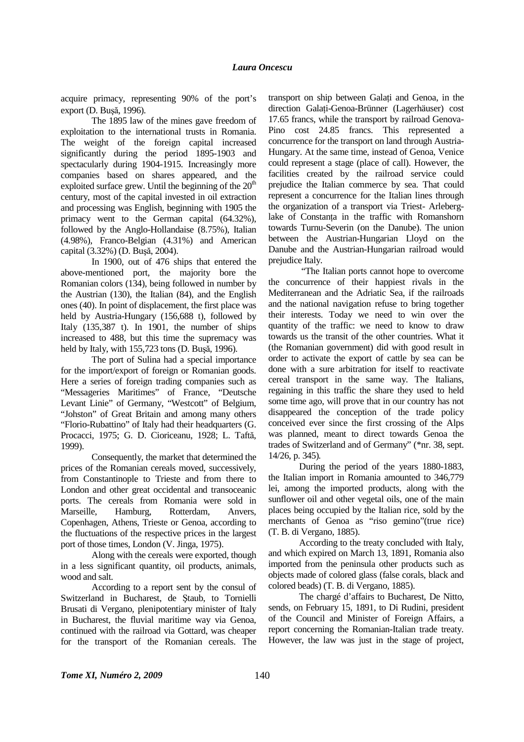acquire primacy, representing 90% of the port's export (D. Buşă, 1996).

 The 1895 law of the mines gave freedom of exploitation to the international trusts in Romania. The weight of the foreign capital increased significantly during the period 1895-1903 and spectacularly during 1904-1915. Increasingly more companies based on shares appeared, and the exploited surface grew. Until the beginning of the  $20<sup>th</sup>$ century, most of the capital invested in oil extraction and processing was English, beginning with 1905 the primacy went to the German capital (64.32%), followed by the Anglo-Hollandaise (8.75%), Italian (4.98%), Franco-Belgian (4.31%) and American capital (3.32%) (D. Buşă, 2004).

 In 1900, out of 476 ships that entered the above-mentioned port, the majority bore the Romanian colors (134), being followed in number by the Austrian (130), the Italian (84), and the English ones (40). In point of displacement, the first place was held by Austria-Hungary (156,688 t), followed by Italy  $(135,387)$  t). In 1901, the number of ships increased to 488, but this time the supremacy was held by Italy, with 155,723 tons (D. Buşă, 1996).

 The port of Sulina had a special importance for the import/export of foreign or Romanian goods. Here a series of foreign trading companies such as "Messageries Maritimes" of France, "Deutsche Levant Linie" of Germany, "Westcott" of Belgium, "Johston" of Great Britain and among many others "Florio-Rubattino" of Italy had their headquarters (G. Procacci, 1975; G. D. Cioriceanu, 1928; L. Taftă, 1999).

 Consequently, the market that determined the prices of the Romanian cereals moved, successively, from Constantinople to Trieste and from there to London and other great occidental and transoceanic ports. The cereals from Romania were sold in Marseille, Hamburg, Rotterdam, Anvers, Copenhagen, Athens, Trieste or Genoa, according to the fluctuations of the respective prices in the largest port of those times, London (V. Jinga, 1975).

 Along with the cereals were exported, though in a less significant quantity, oil products, animals, wood and salt.

 According to a report sent by the consul of Switzerland in Bucharest, de Ştaub, to Tornielli Brusati di Vergano, plenipotentiary minister of Italy in Bucharest, the fluvial maritime way via Genoa, continued with the railroad via Gottard, was cheaper for the transport of the Romanian cereals. The

transport on ship between Galati and Genoa, in the direction Galati-Genoa-Brünner (Lagerhäuser) cost 17.65 francs, while the transport by railroad Genova-Pino cost 24.85 francs. This represented a concurrence for the transport on land through Austria-Hungary. At the same time, instead of Genoa, Venice could represent a stage (place of call). However, the facilities created by the railroad service could prejudice the Italian commerce by sea. That could represent a concurrence for the Italian lines through the organization of a transport via Triest- Arleberglake of Constanta in the traffic with Romanshorn towards Turnu-Severin (on the Danube). The union between the Austrian-Hungarian Lloyd on the Danube and the Austrian-Hungarian railroad would prejudice Italy.

 "The Italian ports cannot hope to overcome the concurrence of their happiest rivals in the Mediterranean and the Adriatic Sea, if the railroads and the national navigation refuse to bring together their interests. Today we need to win over the quantity of the traffic: we need to know to draw towards us the transit of the other countries. What it (the Romanian government) did with good result in order to activate the export of cattle by sea can be done with a sure arbitration for itself to reactivate cereal transport in the same way. The Italians, regaining in this traffic the share they used to held some time ago, will prove that in our country has not disappeared the conception of the trade policy conceived ever since the first crossing of the Alps was planned, meant to direct towards Genoa the trades of Switzerland and of Germany" (\*nr. 38, sept. 14/26, p. 345)*.* 

 During the period of the years 1880-1883, the Italian import in Romania amounted to 346,779 lei, among the imported products, along with the sunflower oil and other vegetal oils, one of the main places being occupied by the Italian rice, sold by the merchants of Genoa as "riso gemino"(true rice) (T. B. di Vergano, 1885).

 According to the treaty concluded with Italy, and which expired on March 13, 1891, Romania also imported from the peninsula other products such as objects made of colored glass (false corals, black and colored beads) (T. B. di Vergano, 1885).

 The chargé d'affairs to Bucharest, De Nitto, sends, on February 15, 1891, to Di Rudini, president of the Council and Minister of Foreign Affairs, a report concerning the Romanian-Italian trade treaty. However, the law was just in the stage of project,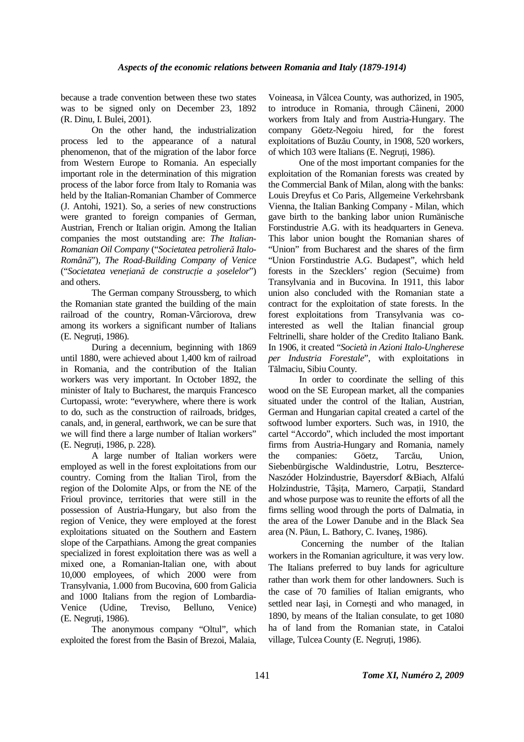because a trade convention between these two states was to be signed only on December 23, 1892 (R. Dinu, I. Bulei, 2001).

 On the other hand, the industrialization process led to the appearance of a natural phenomenon, that of the migration of the labor force from Western Europe to Romania. An especially important role in the determination of this migration process of the labor force from Italy to Romania was held by the Italian-Romanian Chamber of Commerce (J. Antohi, 1921). So, a series of new constructions were granted to foreign companies of German, Austrian, French or Italian origin. Among the Italian companies the most outstanding are: *The Italian-Romanian Oil Company* ("*Societatea petrolieră Italo-Română*")*, The Road-Building Company of Venice*  ("*Societatea veneŃiană de construcŃie a şoselelor*") and others.

 The German company Stroussberg, to which the Romanian state granted the building of the main railroad of the country, Roman-Vârciorova, drew among its workers a significant number of Italians (E. Negruti, 1986).

 During a decennium, beginning with 1869 until 1880, were achieved about 1,400 km of railroad in Romania, and the contribution of the Italian workers was very important. In October 1892, the minister of Italy to Bucharest, the marquis Francesco Curtopassi, wrote: "everywhere, where there is work to do, such as the construction of railroads, bridges, canals, and, in general, earthwork, we can be sure that we will find there a large number of Italian workers" (E. Negruti, 1986, p. 228).

 A large number of Italian workers were employed as well in the forest exploitations from our country. Coming from the Italian Tirol, from the region of the Dolomite Alps, or from the NE of the Frioul province, territories that were still in the possession of Austria-Hungary, but also from the region of Venice, they were employed at the forest exploitations situated on the Southern and Eastern slope of the Carpathians. Among the great companies specialized in forest exploitation there was as well a mixed one, a Romanian-Italian one, with about 10,000 employees, of which 2000 were from Transylvania, 1.000 from Bucovina, 600 from Galicia and 1000 Italians from the region of Lombardia-Venice (Udine, Treviso, Belluno, Venice) (E. Negruți, 1986).

 The anonymous company "Oltul", which exploited the forest from the Basin of Brezoi, Malaia,

Voineasa, in Vâlcea County, was authorized, in 1905, to introduce in Romania, through Câineni, 2000 workers from Italy and from Austria-Hungary. The company Göetz-Negoiu hired, for the forest exploitations of Buzău County, in 1908, 520 workers, of which 103 were Italians (E. Negruți, 1986).

 One of the most important companies for the exploitation of the Romanian forests was created by the Commercial Bank of Milan, along with the banks: Louis Dreyfus et Co Paris, Allgemeine Verkehrsbank Vienna, the Italian Banking Company - Milan, which gave birth to the banking labor union Rumänische Forstindustrie A.G. with its headquarters in Geneva. This labor union bought the Romanian shares of "Union" from Bucharest and the shares of the firm "Union Forstindustrie A.G. Budapest", which held forests in the Szecklers' region (Secuime) from Transylvania and in Bucovina. In 1911, this labor union also concluded with the Romanian state a contract for the exploitation of state forests. In the forest exploitations from Transylvania was cointerested as well the Italian financial group Feltrinelli, share holder of the Credito Italiano Bank. In 1906, it created "*Società in Azioni Italo-Ungherese per Industria Forestale*", with exploitations in Tălmaciu, Sibiu County.

 In order to coordinate the selling of this wood on the SE European market, all the companies situated under the control of the Italian, Austrian, German and Hungarian capital created a cartel of the softwood lumber exporters. Such was, in 1910, the cartel "Accordo", which included the most important firms from Austria-Hungary and Romania, namely the companies: Göetz, Tarcău, Union, Siebenbürgische Waldindustrie, Lotru, Beszterce-Naszóder Holzindustrie, Bayersdorf &Biach, Alfalú Holzindustrie, Tâșița, Marnero, Carpații, Standard and whose purpose was to reunite the efforts of all the firms selling wood through the ports of Dalmatia, in the area of the Lower Danube and in the Black Sea area (N. Păun, L. Bathory, C. Ivaneş, 1986).

 Concerning the number of the Italian workers in the Romanian agriculture, it was very low. The Italians preferred to buy lands for agriculture rather than work them for other landowners. Such is the case of 70 families of Italian emigrants, who settled near Iaşi, in Corneşti and who managed, in 1890, by means of the Italian consulate, to get 1080 ha of land from the Romanian state, in Cataloi village, Tulcea County (E. Negruți, 1986).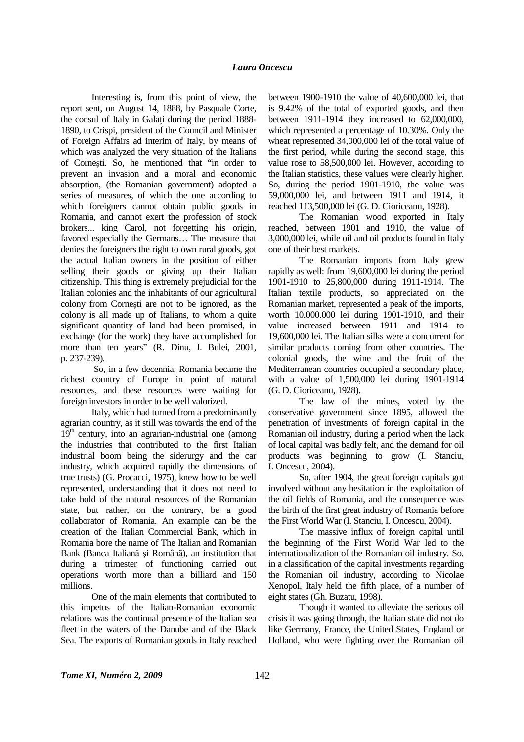Interesting is, from this point of view, the report sent, on August 14, 1888, by Pasquale Corte, the consul of Italy in Galati during the period 1888-1890, to Crispi, president of the Council and Minister of Foreign Affairs ad interim of Italy, by means of which was analyzed the very situation of the Italians of Corneşti. So, he mentioned that "in order to prevent an invasion and a moral and economic absorption, (the Romanian government) adopted a series of measures, of which the one according to which foreigners cannot obtain public goods in Romania, and cannot exert the profession of stock brokers... king Carol, not forgetting his origin, favored especially the Germans… The measure that denies the foreigners the right to own rural goods, got the actual Italian owners in the position of either selling their goods or giving up their Italian citizenship. This thing is extremely prejudicial for the Italian colonies and the inhabitants of our agricultural colony from Corneşti are not to be ignored, as the colony is all made up of Italians, to whom a quite significant quantity of land had been promised, in exchange (for the work) they have accomplished for more than ten years" (R. Dinu, I. Bulei, 2001, p. 237-239)*.* 

 So, in a few decennia, Romania became the richest country of Europe in point of natural resources, and these resources were waiting for foreign investors in order to be well valorized.

 Italy, which had turned from a predominantly agrarian country, as it still was towards the end of the  $19<sup>th</sup>$  century, into an agrarian-industrial one (among the industries that contributed to the first Italian industrial boom being the siderurgy and the car industry, which acquired rapidly the dimensions of true trusts) (G. Procacci, 1975), knew how to be well represented, understanding that it does not need to take hold of the natural resources of the Romanian state, but rather, on the contrary, be a good collaborator of Romania. An example can be the creation of the Italian Commercial Bank, which in Romania bore the name of The Italian and Romanian Bank (Banca Italiană şi Română), an institution that during a trimester of functioning carried out operations worth more than a billiard and 150 millions.

 One of the main elements that contributed to this impetus of the Italian-Romanian economic relations was the continual presence of the Italian sea fleet in the waters of the Danube and of the Black Sea. The exports of Romanian goods in Italy reached

between 1900-1910 the value of 40,600,000 lei, that is 9.42% of the total of exported goods, and then between 1911-1914 they increased to 62,000,000, which represented a percentage of 10.30%. Only the wheat represented 34,000,000 lei of the total value of the first period, while during the second stage, this value rose to 58,500,000 lei. However, according to the Italian statistics, these values were clearly higher. So, during the period 1901-1910, the value was 59,000,000 lei, and between 1911 and 1914, it reached 113,500,000 lei (G. D. Cioriceanu, 1928).

 The Romanian wood exported in Italy reached, between 1901 and 1910, the value of 3,000,000 lei, while oil and oil products found in Italy one of their best markets.

 The Romanian imports from Italy grew rapidly as well: from 19,600,000 lei during the period 1901-1910 to 25,800,000 during 1911-1914. The Italian textile products, so appreciated on the Romanian market, represented a peak of the imports, worth 10.000.000 lei during 1901-1910, and their value increased between 1911 and 1914 to 19,600,000 lei. The Italian silks were a concurrent for similar products coming from other countries. The colonial goods, the wine and the fruit of the Mediterranean countries occupied a secondary place, with a value of 1,500,000 lei during 1901-1914 (G. D. Cioriceanu, 1928).

 The law of the mines, voted by the conservative government since 1895, allowed the penetration of investments of foreign capital in the Romanian oil industry, during a period when the lack of local capital was badly felt, and the demand for oil products was beginning to grow (I. Stanciu, I. Oncescu, 2004).

 So, after 1904, the great foreign capitals got involved without any hesitation in the exploitation of the oil fields of Romania, and the consequence was the birth of the first great industry of Romania before the First World War (I. Stanciu, I. Oncescu, 2004).

 The massive influx of foreign capital until the beginning of the First World War led to the internationalization of the Romanian oil industry. So, in a classification of the capital investments regarding the Romanian oil industry, according to Nicolae Xenopol, Italy held the fifth place, of a number of eight states (Gh. Buzatu, 1998).

 Though it wanted to alleviate the serious oil crisis it was going through, the Italian state did not do like Germany, France, the United States, England or Holland, who were fighting over the Romanian oil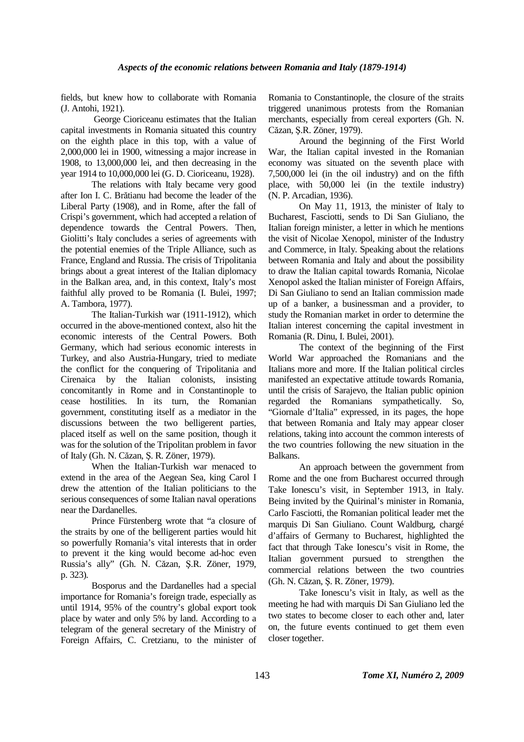fields, but knew how to collaborate with Romania (J. Antohi, 1921).

 George Cioriceanu estimates that the Italian capital investments in Romania situated this country on the eighth place in this top, with a value of 2,000,000 lei in 1900, witnessing a major increase in 1908, to 13,000,000 lei, and then decreasing in the year 1914 to 10,000,000 lei (G. D. Cioriceanu, 1928).

The relations with Italy became very good after Ion I. C. Brătianu had become the leader of the Liberal Party (1908), and in Rome, after the fall of Crispi's government, which had accepted a relation of dependence towards the Central Powers. Then, Giolitti's Italy concludes a series of agreements with the potential enemies of the Triple Alliance, such as France, England and Russia. The crisis of Tripolitania brings about a great interest of the Italian diplomacy in the Balkan area, and, in this context, Italy's most faithful ally proved to be Romania (I. Bulei, 1997; A. Tambora, 1977).

 The Italian-Turkish war (1911-1912), which occurred in the above-mentioned context, also hit the economic interests of the Central Powers. Both Germany, which had serious economic interests in Turkey, and also Austria-Hungary, tried to mediate the conflict for the conquering of Tripolitania and Cirenaica by the Italian colonists, insisting concomitantly in Rome and in Constantinople to cease hostilities. In its turn, the Romanian government, constituting itself as a mediator in the discussions between the two belligerent parties, placed itself as well on the same position, though it was for the solution of the Tripolitan problem in favor of Italy (Gh. N. Căzan, Ş. R. Zöner, 1979).

 When the Italian-Turkish war menaced to extend in the area of the Aegean Sea, king Carol I drew the attention of the Italian politicians to the serious consequences of some Italian naval operations near the Dardanelles.

 Prince Fürstenberg wrote that "a closure of the straits by one of the belligerent parties would hit so powerfully Romania's vital interests that in order to prevent it the king would become ad-hoc even Russia's ally" (Gh. N. Căzan, Ş.R. Zöner, 1979, p. 323)*.*

 Bosporus and the Dardanelles had a special importance for Romania's foreign trade, especially as until 1914, 95% of the country's global export took place by water and only 5% by land. According to a telegram of the general secretary of the Ministry of Foreign Affairs, C. Cretzianu, to the minister of Romania to Constantinople, the closure of the straits triggered unanimous protests from the Romanian merchants, especially from cereal exporters (Gh. N. Căzan, Ş.R. Zöner, 1979).

 Around the beginning of the First World War, the Italian capital invested in the Romanian economy was situated on the seventh place with 7,500,000 lei (in the oil industry) and on the fifth place, with 50,000 lei (in the textile industry) (N. P. Arcadian, 1936).

 On May 11, 1913, the minister of Italy to Bucharest, Fasciotti, sends to Di San Giuliano, the Italian foreign minister, a letter in which he mentions the visit of Nicolae Xenopol, minister of the Industry and Commerce, in Italy. Speaking about the relations between Romania and Italy and about the possibility to draw the Italian capital towards Romania, Nicolae Xenopol asked the Italian minister of Foreign Affairs, Di San Giuliano to send an Italian commission made up of a banker, a businessman and a provider, to study the Romanian market in order to determine the Italian interest concerning the capital investment in Romania (R. Dinu, I. Bulei, 2001).

 The context of the beginning of the First World War approached the Romanians and the Italians more and more. If the Italian political circles manifested an expectative attitude towards Romania, until the crisis of Sarajevo, the Italian public opinion regarded the Romanians sympathetically. So, "Giornale d'Italia" expressed, in its pages, the hope that between Romania and Italy may appear closer relations, taking into account the common interests of the two countries following the new situation in the Balkans.

 An approach between the government from Rome and the one from Bucharest occurred through Take Ionescu's visit, in September 1913, in Italy. Being invited by the Quirinal's minister in Romania, Carlo Fasciotti, the Romanian political leader met the marquis Di San Giuliano. Count Waldburg, chargé d'affairs of Germany to Bucharest, highlighted the fact that through Take Ionescu's visit in Rome, the Italian government pursued to strengthen the commercial relations between the two countries (Gh. N. Căzan, Ş. R. Zöner, 1979).

 Take Ionescu's visit in Italy, as well as the meeting he had with marquis Di San Giuliano led the two states to become closer to each other and, later on, the future events continued to get them even closer together.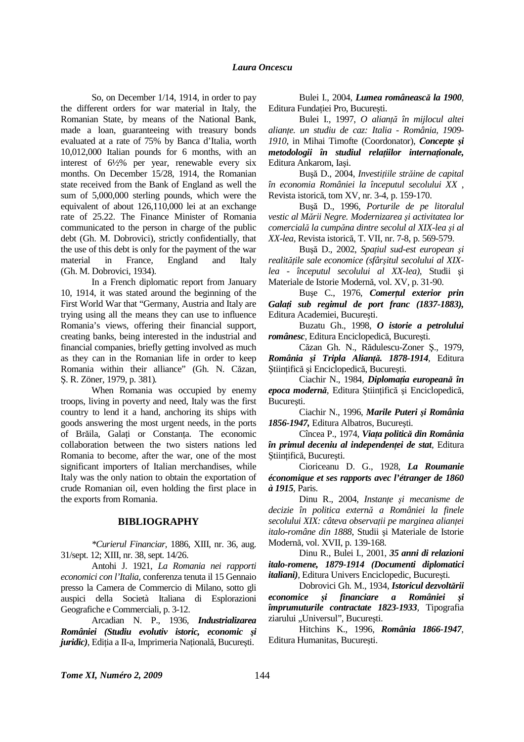So, on December 1/14, 1914, in order to pay the different orders for war material in Italy, the Romanian State, by means of the National Bank, made a loan, guaranteeing with treasury bonds evaluated at a rate of 75% by Banca d'Italia, worth 10,012,000 Italian pounds for 6 months, with an interest of 6½% per year, renewable every six months. On December 15/28, 1914, the Romanian state received from the Bank of England as well the sum of 5,000,000 sterling pounds, which were the equivalent of about 126,110,000 lei at an exchange rate of 25.22. The Finance Minister of Romania communicated to the person in charge of the public debt (Gh. M. Dobrovici), strictly confidentially, that the use of this debt is only for the payment of the war material in France, England and Italy (Gh. M. Dobrovici, 1934).

 In a French diplomatic report from January 10, 1914, it was stated around the beginning of the First World War that "Germany, Austria and Italy are trying using all the means they can use to influence Romania's views, offering their financial support, creating banks, being interested in the industrial and financial companies, briefly getting involved as much as they can in the Romanian life in order to keep Romania within their alliance" (Gh. N. Căzan, Ş. R. Zöner, 1979, p. 381)*.* 

 When Romania was occupied by enemy troops, living in poverty and need, Italy was the first country to lend it a hand, anchoring its ships with goods answering the most urgent needs, in the ports of Brăila, Galați or Constanța. The economic collaboration between the two sisters nations led Romania to become, after the war, one of the most significant importers of Italian merchandises, while Italy was the only nation to obtain the exportation of crude Romanian oil, even holding the first place in the exports from Romania.

## **BIBLIOGRAPHY**

*\*Curierul Financiar*, 1886, XIII, nr. 36, aug. 31/sept. 12; XIII, nr. 38, sept. 14/26.

Antohi J. 1921, *La Romania nei rapporti economici con l'Italia,* conferenza tenuta il 15 Gennaio presso la Camera de Commercio di Milano, sotto gli auspici della Società Italiana di Esplorazioni Geografiche e Commerciali, p. 3-12.

Arcadian N. P., 1936, *Industrializarea României (Studiu evolutiv istoric, economic şi juridic*), Ediția a II-a, Imprimeria Națională, București.

Bulei I., 2004, *Lumea românească la 1900*, Editura Fundatiei Pro, București.

Bulei I., 1997, *O alianŃă în mijlocul altei alianŃe. un studiu de caz: Italia - România, 1909- 1910*, in Mihai Timofte (Coordonator), *Concepte şi metodologii în studiul relatiilor internationale,* Editura Ankarom, Iaşi.

Bușă D., 2004, *Investițiile străine de capital în economia României la începutul secolului XX* , Revista istorică, tom XV, nr. 3-4, p. 159-170.

Buşă D., 1996, *Porturile de pe litoralul vestic al Mării Negre. Modernizarea şi activitatea lor comercială la cumpăna dintre secolul al XIX-lea şi al XX-lea*, Revista istorică, T. VII, nr. 7-8, p. 569-579.

Bușă D., 2002, *Spațiul sud-est european și*  $real$ *itățile sale economice (sfârșitul secolului al XIXlea - începutul secolului al XX-lea),* Studii şi Materiale de Istorie Modernă, vol. XV, p. 31-90.

Bușe C., 1976, *Comerțul exterior prin GalaŃi sub regimul de port franc (1837-1883),* Editura Academiei, Bucureşti.

Buzatu Gh., 1998, *O istorie a petrolului românesc,* Editura Enciclopedică, Bucureşti.

Căzan Gh. N., Rădulescu-Zoner Ş., 1979, *România şi Tripla AlianŃă. 1878-1914,* Editura Științifică și Enciclopedică, București.

Ciachir N., 1984*, DiplomaŃia europeană în*  epoca modernă, Editura Stiințifică și Enciclopedică, Bucureşti.

Ciachir N., 1996, *Marile Puteri şi România 1856-1947,* Editura Albatros, Bucureşti.

Cîncea P., 1974, *Viața politică din România în primul deceniu al independentei de stat, Editura* Ştiințifică, București.

Cioriceanu D. G., 1928, *La Roumanie économique et ses rapports avec l'étranger de 1860 à 1915*, Paris.

Dinu R., 2004, *Instante si mecanisme de decizie în politica externă a României la finele*   $s$ ecolului XIX: câteva observații pe marginea alianței *italo-române din 1888*, Studii şi Materiale de Istorie Modernă, vol. XVII, p. 139-168.

Dinu R., Bulei I., 2001, *35 anni di relazioni italo-romene, 1879-1914 (Documenti diplomatici italiani),* Editura Univers Enciclopedic, Bucureşti.

Dobrovici Gh. M., 1934, *Istoricul dezvoltării economice şi financiare a României şi împrumuturile contractate 1823-1933,* Tipografia ziarului "Universul", București.

Hitchins K., 1996, *România 1866-1947*, Editura Humanitas, Bucureşti.

**Tome XI, Numéro 2, 2009** 144